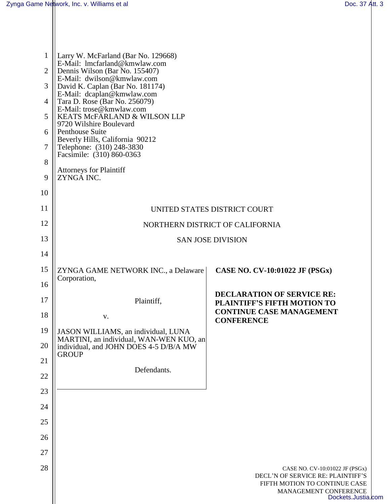| $\mathbf{1}$<br>$\overline{2}$ | Larry W. McFarland (Bar No. 129668)<br>E-Mail: lmcfarland@kmwlaw.com<br>Dennis Wilson (Bar No. 155407) |                                                                                                                                                     |  |
|--------------------------------|--------------------------------------------------------------------------------------------------------|-----------------------------------------------------------------------------------------------------------------------------------------------------|--|
| 3                              | E-Mail: dwilson@kmwlaw.com<br>David K. Caplan (Bar No. 181174)                                         |                                                                                                                                                     |  |
| $\overline{4}$                 | E-Mail: dcaplan@kmwlaw.com<br>Tara D. Rose (Bar No. 256079)                                            |                                                                                                                                                     |  |
| 5                              | E-Mail: trose@kmwlaw.com<br>KEATS McFARLAND & WILSON LLP<br>9720 Wilshire Boulevard<br>Penthouse Suite |                                                                                                                                                     |  |
| 6                              |                                                                                                        |                                                                                                                                                     |  |
| 7                              | Beverly Hills, California 90212<br>Telephone: (310) 248-3830<br>Facsimile: (310) 860-0363              |                                                                                                                                                     |  |
| 8                              |                                                                                                        |                                                                                                                                                     |  |
| 9                              | <b>Attorneys for Plaintiff</b><br>ZYNGĂ INC.                                                           |                                                                                                                                                     |  |
| 10                             |                                                                                                        |                                                                                                                                                     |  |
| 11                             | UNITED STATES DISTRICT COURT                                                                           |                                                                                                                                                     |  |
| 12                             | NORTHERN DISTRICT OF CALIFORNIA                                                                        |                                                                                                                                                     |  |
| 13                             | <b>SAN JOSE DIVISION</b>                                                                               |                                                                                                                                                     |  |
| 14                             |                                                                                                        |                                                                                                                                                     |  |
| 15                             | ZYNGA GAME NETWORK INC., a Delaware<br>Corporation,                                                    | CASE NO. CV-10:01022 JF (PSGx)                                                                                                                      |  |
| 16                             |                                                                                                        |                                                                                                                                                     |  |
| 17                             | Plaintiff,                                                                                             | <b>DECLARATION OF SERVICE RE:</b><br>PLAINTIFF'S FIFTH MOTION TO                                                                                    |  |
| 18                             | V.                                                                                                     | <b>CONTINUE CASE MANAGEMENT</b><br><b>CONFERENCE</b>                                                                                                |  |
| 19                             | JASON WILLIAMS, an individual, LUNA<br>MARTINI, an individual, WAN-WEN KUO, an                         |                                                                                                                                                     |  |
| 20                             | individual, and JOHN DOES 4-5 D/B/A MW<br><b>GROUP</b>                                                 |                                                                                                                                                     |  |
| 21                             | Defendants.                                                                                            |                                                                                                                                                     |  |
| 22                             |                                                                                                        |                                                                                                                                                     |  |
| 23                             |                                                                                                        |                                                                                                                                                     |  |
| 24                             |                                                                                                        |                                                                                                                                                     |  |
| 25                             |                                                                                                        |                                                                                                                                                     |  |
| 26                             |                                                                                                        |                                                                                                                                                     |  |
| 27                             |                                                                                                        |                                                                                                                                                     |  |
| 28                             |                                                                                                        | CASE NO. CV-10:01022 JF (PSGx)<br>DECL'N OF SERVICE RE: PLAINTIFF'S<br>FIFTH MOTION TO CONTINUE CASE<br>MANAGEMENT CONFERENCE<br>Dockets.Justia.com |  |